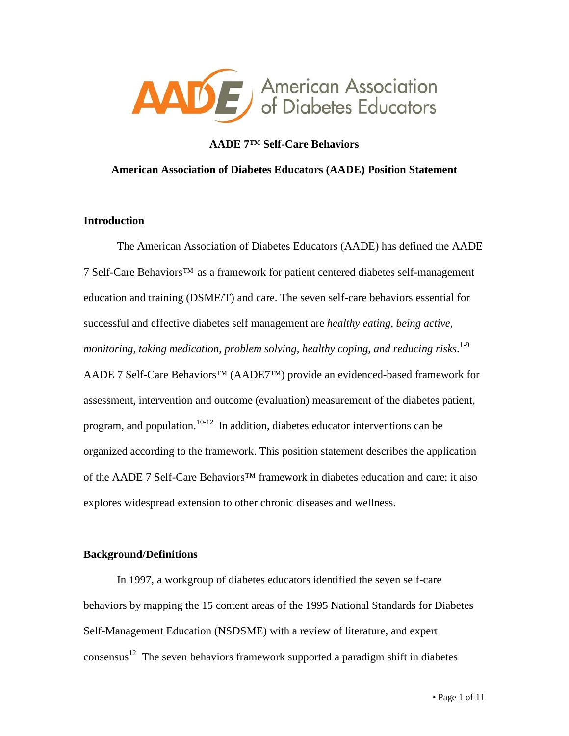

### **AADE 7™ Self-Care Behaviors**

### **American Association of Diabetes Educators (AADE) Position Statement**

### **Introduction**

The American Association of Diabetes Educators (AADE) has defined the AADE 7 Self-Care Behaviors™ as a framework for patient centered diabetes self-management education and training (DSME/T) and care. The seven self-care behaviors essential for successful and effective diabetes self management are *healthy eating, being active, monitoring, taking medication, problem solving, healthy coping, and reducing risks*. 1-9 AADE 7 Self-Care Behaviors<sup>™</sup> (AADE7™) provide an evidenced-based framework for assessment, intervention and outcome (evaluation) measurement of the diabetes patient, program, and population.<sup>10-12</sup> In addition, diabetes educator interventions can be organized according to the framework. This position statement describes the application of the AADE 7 Self-Care Behaviors™ framework in diabetes education and care; it also explores widespread extension to other chronic diseases and wellness.

### **Background/Definitions**

In 1997, a workgroup of diabetes educators identified the seven self-care behaviors by mapping the 15 content areas of the 1995 National Standards for Diabetes Self-Management Education (NSDSME) with a review of literature, and expert consensus<sup>12</sup> The seven behaviors framework supported a paradigm shift in diabetes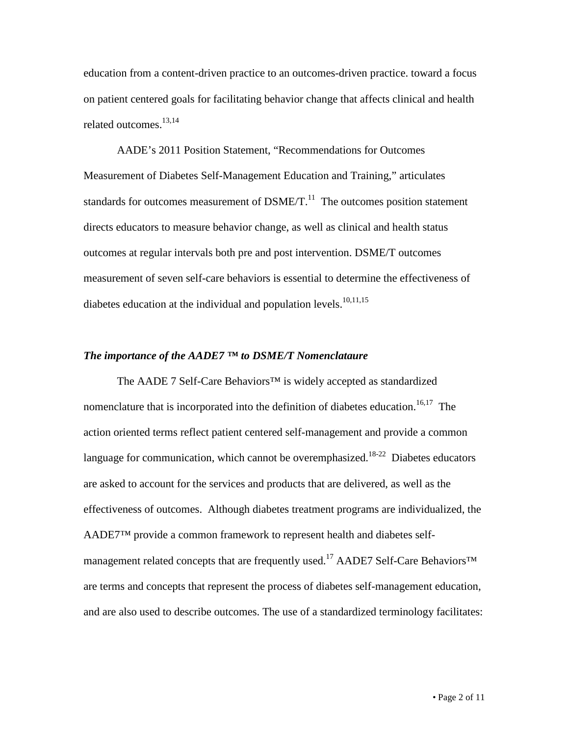education from a content-driven practice to an outcomes-driven practice. toward a focus on patient centered goals for facilitating behavior change that affects clinical and health related outcomes.<sup>13,14</sup>

AADE's 2011 Position Statement, "Recommendations for Outcomes Measurement of Diabetes Self-Management Education and Training," articulates standards for outcomes measurement of  $DSME/T$ .<sup>11</sup> The outcomes position statement directs educators to measure behavior change, as well as clinical and health status outcomes at regular intervals both pre and post intervention. DSME/T outcomes measurement of seven self-care behaviors is essential to determine the effectiveness of diabetes education at the individual and population levels.<sup>10,11,15</sup>

### *The importance of the AADE7 ™ to DSME/T Nomenclataure*

The AADE 7 Self-Care Behaviors™ is widely accepted as standardized nomenclature that is incorporated into the definition of diabetes education.<sup>16,17</sup> The action oriented terms reflect patient centered self-management and provide a common language for communication, which cannot be overemphasized.<sup>18-22</sup> Diabetes educators are asked to account for the services and products that are delivered, as well as the effectiveness of outcomes. Although diabetes treatment programs are individualized, the AADE7™ provide a common framework to represent health and diabetes selfmanagement related concepts that are frequently used.<sup>17</sup> AADE7 Self-Care Behaviors<sup>™</sup> are terms and concepts that represent the process of diabetes self-management education, and are also used to describe outcomes. The use of a standardized terminology facilitates: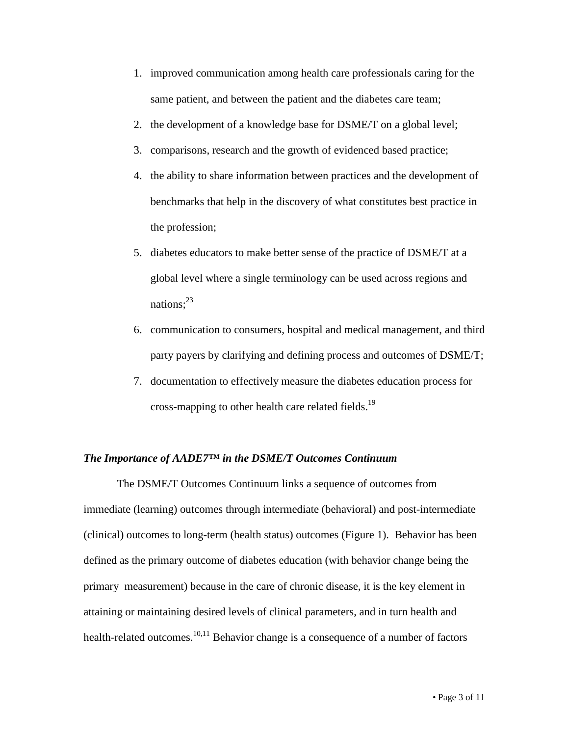- 1. improved communication among health care professionals caring for the same patient, and between the patient and the diabetes care team;
- 2. the development of a knowledge base for DSME/T on a global level;
- 3. comparisons, research and the growth of evidenced based practice;
- 4. the ability to share information between practices and the development of benchmarks that help in the discovery of what constitutes best practice in the profession;
- 5. diabetes educators to make better sense of the practice of DSME/T at a global level where a single terminology can be used across regions and nations; $^{23}$
- 6. communication to consumers, hospital and medical management, and third party payers by clarifying and defining process and outcomes of DSME/T;
- 7. documentation to effectively measure the diabetes education process for cross-mapping to other health care related fields.<sup>19</sup>

# *The Importance of AADE7™ in the DSME/T Outcomes Continuum*

The DSME/T Outcomes Continuum links a sequence of outcomes from immediate (learning) outcomes through intermediate (behavioral) and post-intermediate (clinical) outcomes to long-term (health status) outcomes (Figure 1). Behavior has been defined as the primary outcome of diabetes education (with behavior change being the primary measurement) because in the care of chronic disease, it is the key element in attaining or maintaining desired levels of clinical parameters, and in turn health and health-related outcomes.<sup>10,11</sup> Behavior change is a consequence of a number of factors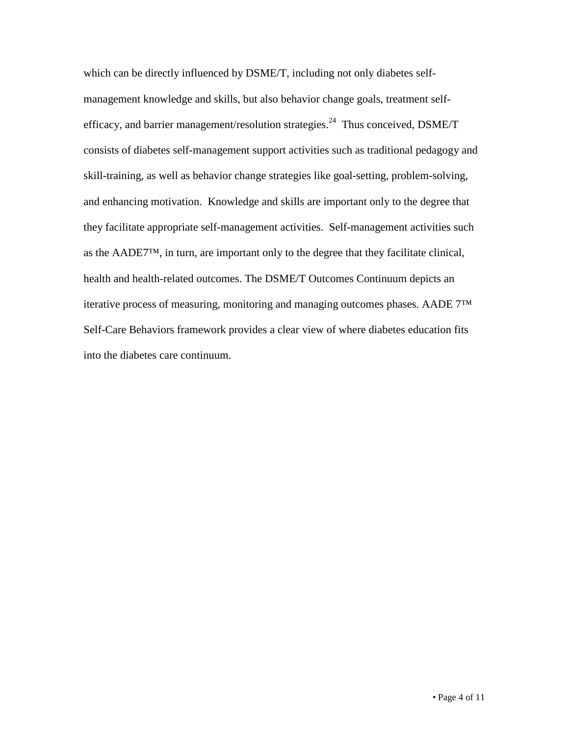which can be directly influenced by DSME/T, including not only diabetes selfmanagement knowledge and skills, but also behavior change goals, treatment selfefficacy, and barrier management/resolution strategies.<sup>24</sup> Thus conceived, DSME/T consists of diabetes self-management support activities such as traditional pedagogy and skill-training, as well as behavior change strategies like goal-setting, problem-solving, and enhancing motivation. Knowledge and skills are important only to the degree that they facilitate appropriate self-management activities. Self-management activities such as the AADE7™, in turn, are important only to the degree that they facilitate clinical, health and health-related outcomes. The DSME/T Outcomes Continuum depicts an iterative process of measuring, monitoring and managing outcomes phases. AADE 7™ Self-Care Behaviors framework provides a clear view of where diabetes education fits into the diabetes care continuum.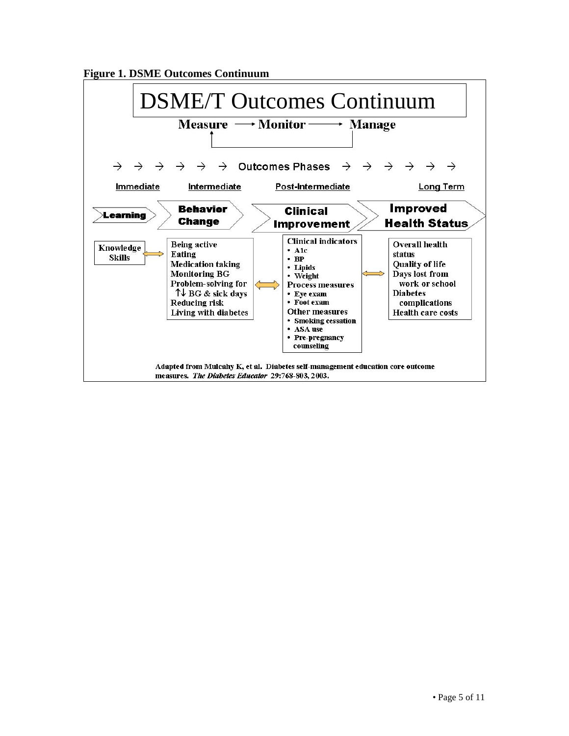

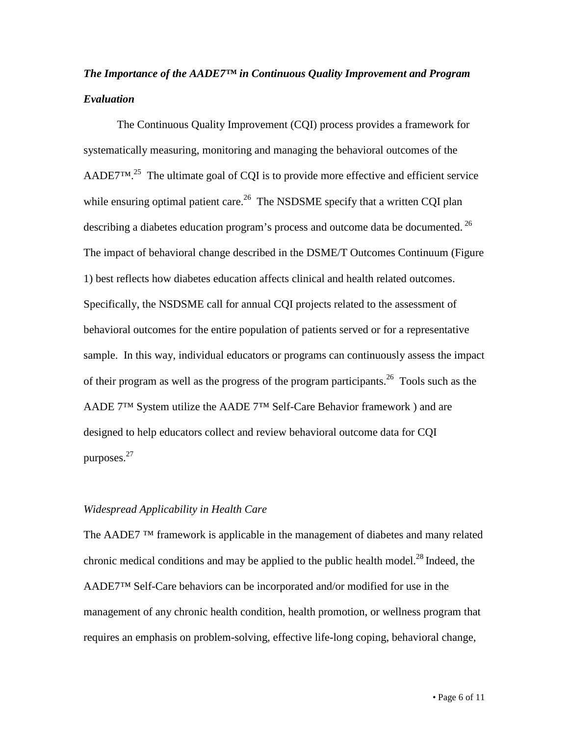# *The Importance of the AADE7™ in Continuous Quality Improvement and Program Evaluation*

The Continuous Quality Improvement (CQI) process provides a framework for systematically measuring, monitoring and managing the behavioral outcomes of the AADE7<sup>TM.<sup>25</sup> The ultimate goal of CQI is to provide more effective and efficient service</sup> while ensuring optimal patient care.<sup>26</sup> The NSDSME specify that a written CQI plan describing a diabetes education program's process and outcome data be documented.<sup>26</sup> The impact of behavioral change described in the DSME/T Outcomes Continuum (Figure 1) best reflects how diabetes education affects clinical and health related outcomes. Specifically, the NSDSME call for annual CQI projects related to the assessment of behavioral outcomes for the entire population of patients served or for a representative sample. In this way, individual educators or programs can continuously assess the impact of their program as well as the progress of the program participants.<sup>26</sup> Tools such as the AADE 7™ System utilize the AADE 7™ Self-Care Behavior framework ) and are designed to help educators collect and review behavioral outcome data for CQI purposes.27

### *Widespread Applicability in Health Care*

The AADE7<sup>TM</sup> framework is applicable in the management of diabetes and many related chronic medical conditions and may be applied to the public health model.<sup>28</sup> Indeed, the AADE7™ Self-Care behaviors can be incorporated and/or modified for use in the management of any chronic health condition, health promotion, or wellness program that requires an emphasis on problem-solving, effective life-long coping, behavioral change,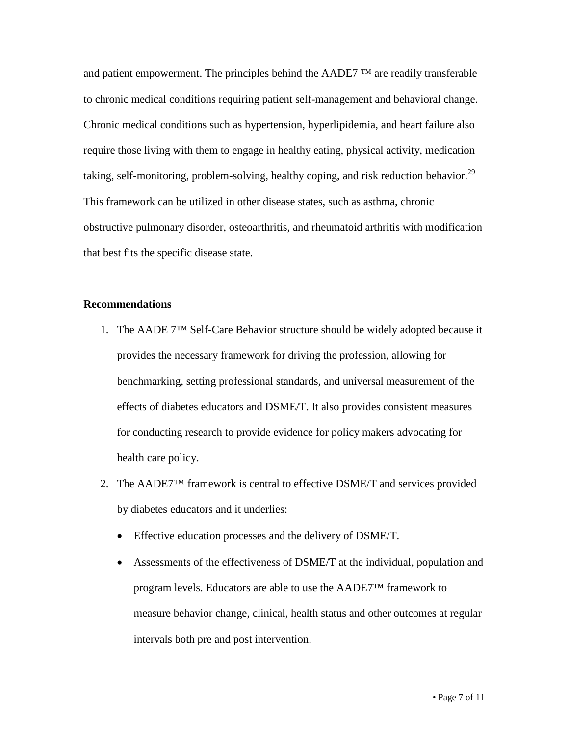and patient empowerment. The principles behind the AADE7  $TM$  are readily transferable to chronic medical conditions requiring patient self-management and behavioral change. Chronic medical conditions such as hypertension, hyperlipidemia, and heart failure also require those living with them to engage in healthy eating, physical activity, medication taking, self-monitoring, problem-solving, healthy coping, and risk reduction behavior.<sup>29</sup> This framework can be utilized in other disease states, such as asthma, chronic obstructive pulmonary disorder, osteoarthritis, and rheumatoid arthritis with modification that best fits the specific disease state.

### **Recommendations**

- 1. The AADE 7™ Self-Care Behavior structure should be widely adopted because it provides the necessary framework for driving the profession, allowing for benchmarking, setting professional standards, and universal measurement of the effects of diabetes educators and DSME/T. It also provides consistent measures for conducting research to provide evidence for policy makers advocating for health care policy.
- 2. The AADE7<sup>™</sup> framework is central to effective DSME/T and services provided by diabetes educators and it underlies:
	- Effective education processes and the delivery of DSME/T.
	- Assessments of the effectiveness of DSME/T at the individual, population and program levels. Educators are able to use the AADE7™ framework to measure behavior change, clinical, health status and other outcomes at regular intervals both pre and post intervention.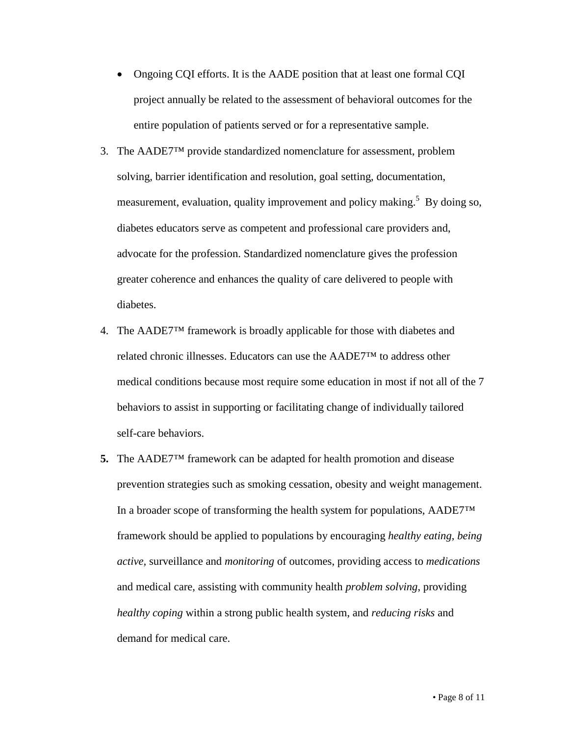- Ongoing CQI efforts. It is the AADE position that at least one formal CQI project annually be related to the assessment of behavioral outcomes for the entire population of patients served or for a representative sample.
- 3. The AADE7™ provide standardized nomenclature for assessment, problem solving, barrier identification and resolution, goal setting, documentation, measurement, evaluation, quality improvement and policy making.<sup>5</sup> By doing so, diabetes educators serve as competent and professional care providers and, advocate for the profession. Standardized nomenclature gives the profession greater coherence and enhances the quality of care delivered to people with diabetes.
- 4. The AADE7™ framework is broadly applicable for those with diabetes and related chronic illnesses. Educators can use the AADE7™ to address other medical conditions because most require some education in most if not all of the 7 behaviors to assist in supporting or facilitating change of individually tailored self-care behaviors.
- **5.** The AADE7™ framework can be adapted for health promotion and disease prevention strategies such as smoking cessation, obesity and weight management. In a broader scope of transforming the health system for populations, AADE7™ framework should be applied to populations by encouraging *healthy eating, being active,* surveillance and *monitoring* of outcomes, providing access to *medications* and medical care, assisting with community health *problem solving*, providing *healthy coping* within a strong public health system, and *reducing risks* and demand for medical care.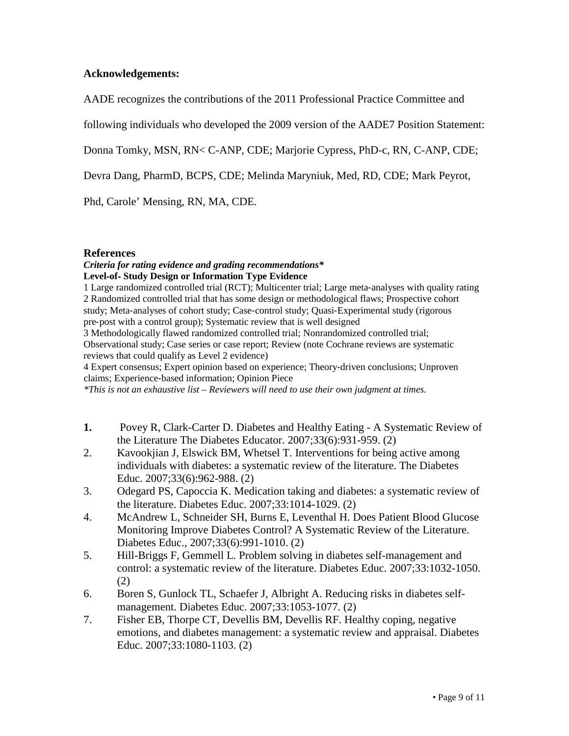## **Acknowledgements:**

AADE recognizes the contributions of the 2011 Professional Practice Committee and

following individuals who developed the 2009 version of the AADE7 Position Statement:

Donna Tomky, MSN, RN< C-ANP, CDE; Marjorie Cypress, PhD-c, RN, C-ANP, CDE;

Devra Dang, PharmD, BCPS, CDE; Melinda Maryniuk, Med, RD, CDE; Mark Peyrot,

Phd, Carole' Mensing, RN, MA, CDE.

## **References**

### *Criteria for rating evidence and grading recommendations\** **Level**‐**of**‐ **Study Design or Information Type Evidence**

1 Large randomized controlled trial (RCT); Multicenter trial; Large meta‐analyses with quality rating 2 Randomized controlled trial that has some design or methodological flaws; Prospective cohort study; Meta-analyses of cohort study; Case-control study; Quasi-Experimental study (rigorous pre‐post with a control group); Systematic review that is well designed

3 Methodologically flawed randomized controlled trial; Nonrandomized controlled trial; Observational study; Case series or case report; Review (note Cochrane reviews are systematic reviews that could qualify as Level 2 evidence)

4 Expert consensus; Expert opinion based on experience; Theory‐driven conclusions; Unproven claims; Experience‐based information; Opinion Piece

*\*This is not an exhaustive list – Reviewers will need to use their own judgment at times.*

- **1.** Povey R, Clark-Carter D. Diabetes and Healthy Eating A Systematic Review of the Literature The Diabetes Educator. 2007;33(6):931-959. (2)
- 2. Kavookjian J, Elswick BM, Whetsel T. Interventions for being active among individuals with diabetes: a systematic review of the literature. The Diabetes Educ. 2007;33(6):962-988. (2)
- 3. Odegard PS, Capoccia K. Medication taking and diabetes: a systematic review of the literature. Diabetes Educ. 2007;33:1014-1029. (2)
- 4. McAndrew L, Schneider SH, Burns E, Leventhal H. Does Patient Blood Glucose Monitoring Improve Diabetes Control? A Systematic Review of the Literature. Diabetes Educ., 2007;33(6):991-1010. (2)
- 5. Hill-Briggs F, Gemmell L. Problem solving in diabetes self-management and control: a systematic review of the literature. Diabetes Educ. 2007;33:1032-1050. (2)
- 6. Boren S, Gunlock TL, Schaefer J, Albright A. Reducing risks in diabetes selfmanagement. Diabetes Educ. 2007;33:1053-1077. (2)
- 7. Fisher EB, Thorpe CT, Devellis BM, Devellis RF. Healthy coping, negative emotions, and diabetes management: a systematic review and appraisal. Diabetes Educ. 2007;33:1080-1103. (2)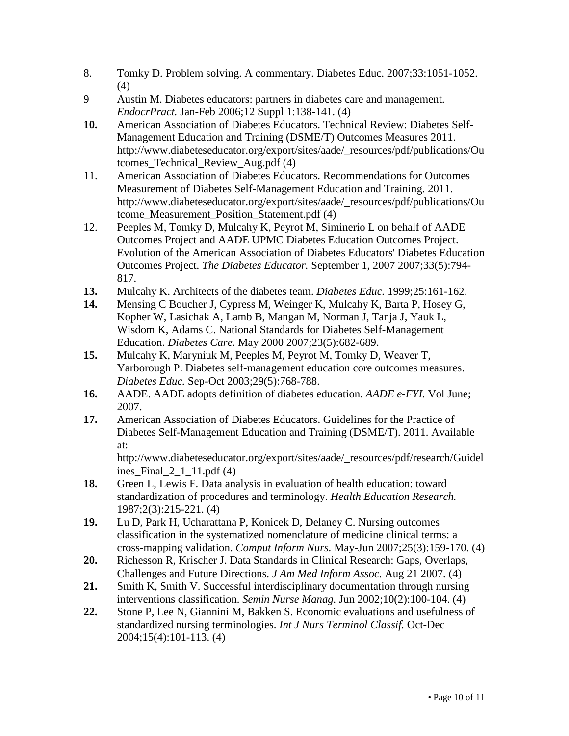- 8. Tomky D. Problem solving. A commentary. Diabetes Educ. 2007;33:1051-1052. (4)
- 9 Austin M. Diabetes educators: partners in diabetes care and management. *EndocrPract.* Jan-Feb 2006;12 Suppl 1:138-141. (4)
- **10.** American Association of Diabetes Educators. Technical Review: Diabetes Self-Management Education and Training (DSME/T) Outcomes Measures 2011. http://www.diabeteseducator.org/export/sites/aade/\_resources/pdf/publications/Ou tcomes\_Technical\_Review\_Aug.pdf (4)
- 11. American Association of Diabetes Educators. Recommendations for Outcomes Measurement of Diabetes Self-Management Education and Training. 2011. http://www.diabeteseducator.org/export/sites/aade/\_resources/pdf/publications/Ou tcome\_Measurement\_Position\_Statement.pdf (4)
- 12. Peeples M, Tomky D, Mulcahy K, Peyrot M, Siminerio L on behalf of AADE Outcomes Project and AADE UPMC Diabetes Education Outcomes Project. Evolution of the American Association of Diabetes Educators' Diabetes Education Outcomes Project. *The Diabetes Educator.* September 1, 2007 2007;33(5):794- 817.
- **13.** Mulcahy K. Architects of the diabetes team. *Diabetes Educ.* 1999;25:161-162.
- **14.** Mensing C Boucher J, Cypress M, Weinger K, Mulcahy K, Barta P, Hosey G, Kopher W, Lasichak A, Lamb B, Mangan M, Norman J, Tanja J, Yauk L, Wisdom K, Adams C. National Standards for Diabetes Self-Management Education. *Diabetes Care.* May 2000 2007;23(5):682-689.
- **15.** Mulcahy K, Maryniuk M, Peeples M, Peyrot M, Tomky D, Weaver T, Yarborough P. Diabetes self-management education core outcomes measures. *Diabetes Educ.* Sep-Oct 2003;29(5):768-788.
- **16.** AADE. AADE adopts definition of diabetes education. *AADE e-FYI.* Vol June; 2007.
- **17.** American Association of Diabetes Educators. Guidelines for the Practice of Diabetes Self-Management Education and Training (DSME/T). 2011. Available at:

http://www.diabeteseducator.org/export/sites/aade/\_resources/pdf/research/Guidel ines Final  $2\ 1\ 11.pdf$  (4)

- **18.** Green L, Lewis F. Data analysis in evaluation of health education: toward standardization of procedures and terminology. *Health Education Research.*  1987;2(3):215-221. (4)
- **19.** Lu D, Park H, Ucharattana P, Konicek D, Delaney C. Nursing outcomes classification in the systematized nomenclature of medicine clinical terms: a cross-mapping validation. *Comput Inform Nurs.* May-Jun 2007;25(3):159-170. (4)
- **20.** Richesson R, Krischer J. Data Standards in Clinical Research: Gaps, Overlaps, Challenges and Future Directions. *J Am Med Inform Assoc.* Aug 21 2007. (4)
- **21.** Smith K, Smith V. Successful interdisciplinary documentation through nursing interventions classification. *Semin Nurse Manag.* Jun 2002;10(2):100-104. (4)
- **22.** Stone P, Lee N, Giannini M, Bakken S. Economic evaluations and usefulness of standardized nursing terminologies. *Int J Nurs Terminol Classif.* Oct-Dec 2004;15(4):101-113. (4)